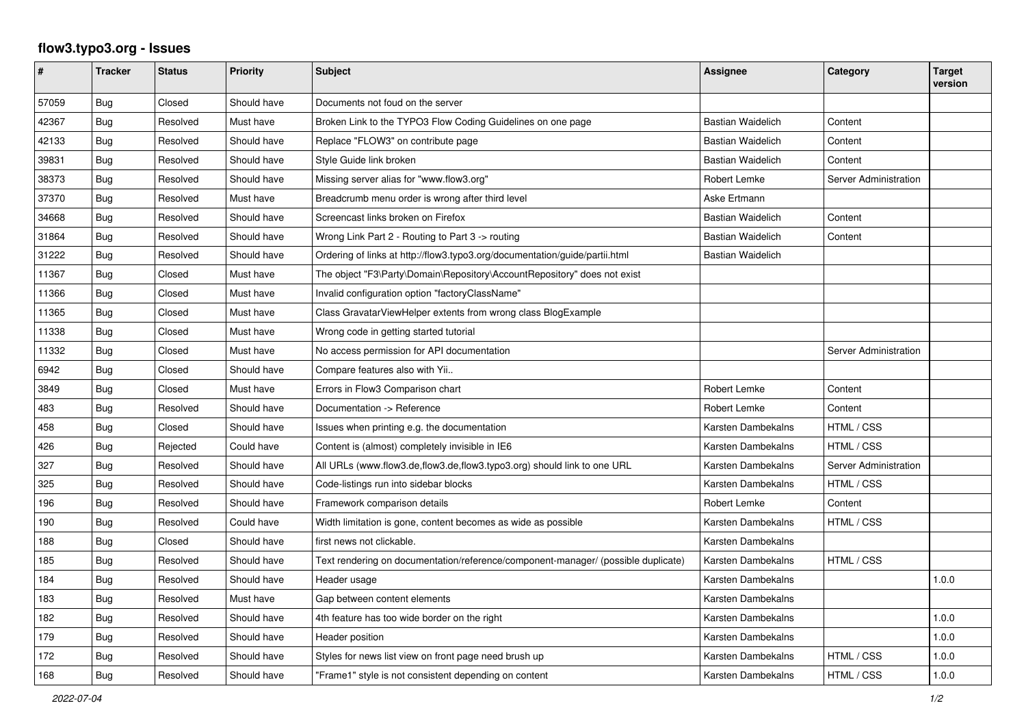## **flow3.typo3.org - Issues**

| #     | <b>Tracker</b> | <b>Status</b> | <b>Priority</b> | <b>Subject</b>                                                                    | Assignee                 | Category              | <b>Target</b><br>version |
|-------|----------------|---------------|-----------------|-----------------------------------------------------------------------------------|--------------------------|-----------------------|--------------------------|
| 57059 | Bug            | Closed        | Should have     | Documents not foud on the server                                                  |                          |                       |                          |
| 42367 | Bug            | Resolved      | Must have       | Broken Link to the TYPO3 Flow Coding Guidelines on one page                       | <b>Bastian Waidelich</b> | Content               |                          |
| 42133 | Bug            | Resolved      | Should have     | Replace "FLOW3" on contribute page                                                | <b>Bastian Waidelich</b> | Content               |                          |
| 39831 | Bug            | Resolved      | Should have     | Style Guide link broken                                                           | <b>Bastian Waidelich</b> | Content               |                          |
| 38373 | Bug            | Resolved      | Should have     | Missing server alias for "www.flow3.org"                                          | Robert Lemke             | Server Administration |                          |
| 37370 | <b>Bug</b>     | Resolved      | Must have       | Breadcrumb menu order is wrong after third level                                  | Aske Ertmann             |                       |                          |
| 34668 | Bug            | Resolved      | Should have     | Screencast links broken on Firefox                                                | <b>Bastian Waidelich</b> | Content               |                          |
| 31864 | Bug            | Resolved      | Should have     | Wrong Link Part 2 - Routing to Part 3 -> routing                                  | <b>Bastian Waidelich</b> | Content               |                          |
| 31222 | Bug            | Resolved      | Should have     | Ordering of links at http://flow3.typo3.org/documentation/guide/partii.html       | Bastian Waidelich        |                       |                          |
| 11367 | Bug            | Closed        | Must have       | The object "F3\Party\Domain\Repository\AccountRepository" does not exist          |                          |                       |                          |
| 11366 | Bug            | Closed        | Must have       | Invalid configuration option "factoryClassName"                                   |                          |                       |                          |
| 11365 | Bug            | Closed        | Must have       | Class GravatarViewHelper extents from wrong class BlogExample                     |                          |                       |                          |
| 11338 | Bug            | Closed        | Must have       | Wrong code in getting started tutorial                                            |                          |                       |                          |
| 11332 | Bug            | Closed        | Must have       | No access permission for API documentation                                        |                          | Server Administration |                          |
| 6942  | Bug            | Closed        | Should have     | Compare features also with Yii                                                    |                          |                       |                          |
| 3849  | Bug            | Closed        | Must have       | Errors in Flow3 Comparison chart                                                  | Robert Lemke             | Content               |                          |
| 483   | Bug            | Resolved      | Should have     | Documentation -> Reference                                                        | Robert Lemke             | Content               |                          |
| 458   | Bug            | Closed        | Should have     | Issues when printing e.g. the documentation                                       | Karsten Dambekalns       | HTML / CSS            |                          |
| 426   | Bug            | Rejected      | Could have      | Content is (almost) completely invisible in IE6                                   | Karsten Dambekalns       | HTML / CSS            |                          |
| 327   | Bug            | Resolved      | Should have     | All URLs (www.flow3.de,flow3.de,flow3.typo3.org) should link to one URL           | Karsten Dambekalns       | Server Administration |                          |
| 325   | Bug            | Resolved      | Should have     | Code-listings run into sidebar blocks                                             | Karsten Dambekalns       | HTML / CSS            |                          |
| 196   | Bug            | Resolved      | Should have     | Framework comparison details                                                      | Robert Lemke             | Content               |                          |
| 190   | Bug            | Resolved      | Could have      | Width limitation is gone, content becomes as wide as possible                     | Karsten Dambekalns       | HTML / CSS            |                          |
| 188   | <b>Bug</b>     | Closed        | Should have     | first news not clickable.                                                         | Karsten Dambekalns       |                       |                          |
| 185   | <b>Bug</b>     | Resolved      | Should have     | Text rendering on documentation/reference/component-manager/ (possible duplicate) | Karsten Dambekalns       | HTML / CSS            |                          |
| 184   | Bug            | Resolved      | Should have     | Header usage                                                                      | Karsten Dambekalns       |                       | 1.0.0                    |
| 183   | <b>Bug</b>     | Resolved      | Must have       | Gap between content elements                                                      | Karsten Dambekalns       |                       |                          |
| 182   | Bug            | Resolved      | Should have     | 4th feature has too wide border on the right                                      | Karsten Dambekalns       |                       | 1.0.0                    |
| 179   | <b>Bug</b>     | Resolved      | Should have     | Header position                                                                   | Karsten Dambekalns       |                       | 1.0.0                    |
| 172   | Bug            | Resolved      | Should have     | Styles for news list view on front page need brush up                             | Karsten Dambekalns       | HTML / CSS            | 1.0.0                    |
| 168   | Bug            | Resolved      | Should have     | "Frame1" style is not consistent depending on content                             | Karsten Dambekalns       | HTML / CSS            | 1.0.0                    |